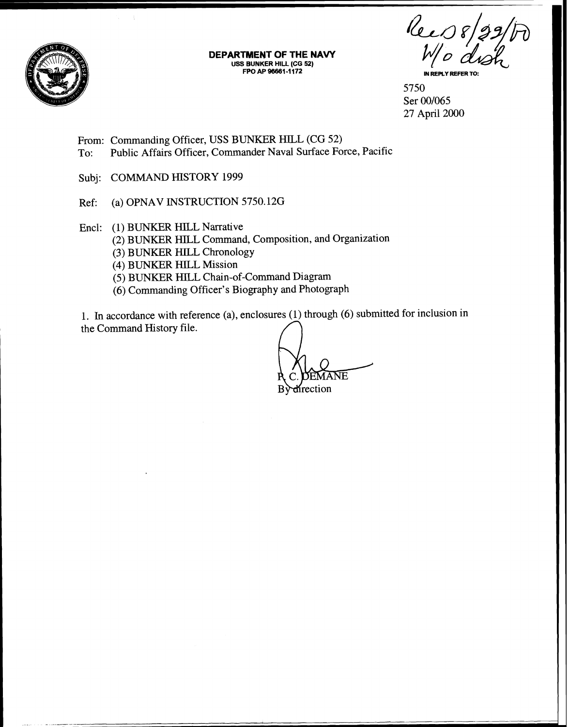

**DEPARTMENT OF THE NAVY USS BUNKER HILL (CG 52)** 

Ree 08/29/h

5750<br>Ser 00/065  $\frac{5750}{8}$  Ser 00/065 27 April 2000

From: Commanding Officer, USS BUNKER HILL (CG 52) To: Public Affairs Officer, Commander Naval Surface Force, Pacific

Subj: COMMAND HISTORY 1999

Ref: (a) OPNAV INSTRUCTION 5750.12G

Encl: (I) BUNKER HILL Narrative

(2) BUNKER HILL Conmand, Composition, and Organization

(3) BUNKER HILL Chronology

(4) BUNKER HILL Mission

(5) BLINKER HILL Chain-of-Command Diagram

(6) Commanding Officer's Biography and Photograph

1. In accordance with reference (a), enclosures (1) through (6) submitted for inclusion in the Command History file.

ANE *<u>Hrection*</u>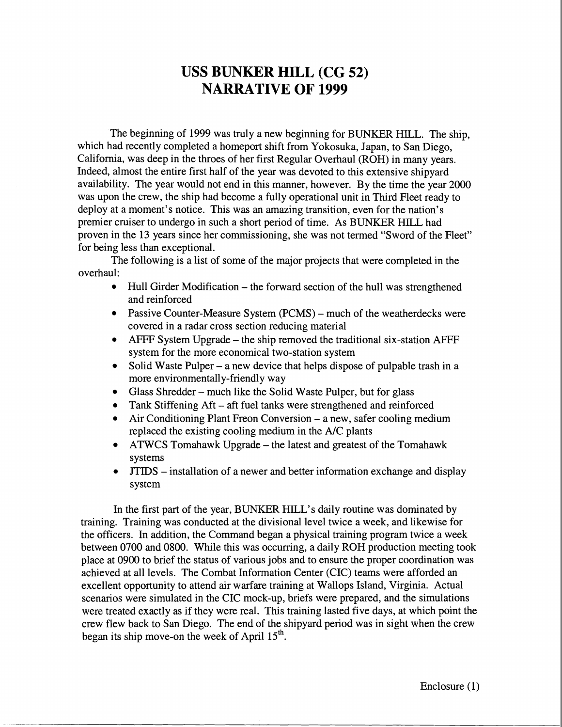## **USS BUNKER HILL (CG 52) NARRATIVE OF 1999**

The beginning of 1999 was truly a new beginning for BUNKER HILL. The ship, which had recently completed a homeport shift from Yokosuka, Japan, to San Diego, California, was deep in the throes of her first Regular Overhaul (ROH) in many years. Indeed, almost the entire first half of the year was devoted to this extensive shipyard availability. The year would not end in this manner, however. By the time the year 2000 was upon the crew, the ship had become a fully operational unit in Third Fleet ready to deploy at a moment's notice. This was an amazing transition, even for the nation's premier cruiser to undergo in such a short period of time. As BUNKER HILL had proven in the 13 years since her commissioning, she was not termed "Sword of the Fleet" for being less than exceptional.

The following is a list of some of the major projects that were completed in the overhaul:

- Hull Girder Modification the forward section of the hull was strengthened and reinforced
- Passive Counter-Measure System (PCMS) much of the weatherdecks were covered in a radar cross section reducing material
- AFFF System Upgrade the ship removed the traditional six-station AFFF system for the more economical two-station system
- Solid Waste Pulper a new device that helps dispose of pulpable trash in a more environmentally-friendly way
- Glass Shredder much like the Solid Waste Pulper, but for glass
- Tank Stiffening Aft aft fuel tanks were strengthened and reinforced
- Air Conditioning Plant Freon Conversion a new, safer cooling medium replaced the existing cooling medium in the A/C plants
- ATWCS Tomahawk Upgrade the latest and greatest of the Tomahawk systems
- JTIDS installation of a newer and better information exchange and display system

In the first part of the year, BUNKER HILL'S daily routine was dominated by training. Training was conducted at the divisional level twice a week, and likewise for the officers. In addition, the Command began a physical training program twice a week between 0700 and 0800. While this was occurring, a daily ROH production meeting took place at 0900 to brief the status of various jobs and to ensure the proper coordination was achieved at all levels. The Combat Information Center (CIC) teams were afforded an excellent opportunity to attend air warfare training at Wallops Island, Virginia. Actual scenarios were simulated in the CIC mock-up, briefs were prepared, and the simulations were treated exactly as if they were real. This training lasted five days, at which point the crew flew back to San Diego. The end of the shipyard period was in sight when the crew began its ship move-on the week of April  $15<sup>th</sup>$ .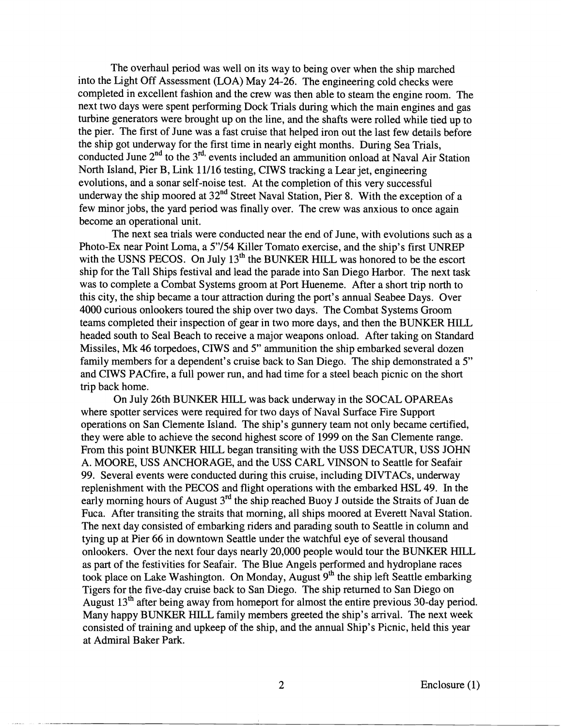The overhaul period was well on its way to being over when the ship marched into the Light Off Assessment (LOA) May 24-26. The engineering cold checks were completed in excellent fashion and the crew was then able to steam the engine room. The next two days were spent performing Dock Trials during which the main engines and gas turbine generators were brought up on the line, and the shafts were rolled while tied up to the pier. The first of June was a fast cruise that helped iron out the last few details before the ship got underway for the first time in nearly eight months. During Sea Trials, conducted June  $2<sup>nd</sup>$  to the 3<sup>rd</sup> events included an ammunition onload at Naval Air Station North Island, Pier B, Link 11/16 testing, CIWS tracking a Lear jet, engineering evolutions, and a sonar self-noise test. At the completion of this very successful underway the ship moored at 32<sup>nd</sup> Street Naval Station, Pier 8. With the exception of a few minor jobs, the yard period was finally over. The crew was anxious to once again become an operational unit.

The next sea trials were conducted near the end of June, with evolutions such as a Photo-Ex near Point Loma, a 5"/54 Killer Tomato exercise, and the ship's first UNREP with the USNS PECOS. On July  $13<sup>th</sup>$  the BUNKER HILL was honored to be the escort ship for the Tall Ships festival and lead the parade into San Diego Harbor. The next task was to complete a Combat Systems groom at Port Hueneme. After a short trip north to this city, the ship became a tour attraction during the port's annual Seabee Days. Over 4000 curious onlookers toured the ship over two days. The Combat Systems Groom teams completed their inspection of gear in two more days, and then the BUNKER HILL headed south to Seal Beach to receive a major weapons onload. After taking on Standard Missiles, **Mk** 46 torpedoes, CIWS and 5" ammunition the ship embarked several dozen family members for a dependent's cruise back to San Diego. The ship demonstrated a 5" and CIWS PACfire, a full power run, and had time for a steel beach picnic on the short trip back home.

On July 26th BUNKER HILL was back underway in the SOCAL OPAREAs where spotter services were required for two days of Naval Surface Fire Support operations on San Clemente Island. The ship's gunnery team not only became certified, they were able to achieve the second highest score of 1999 on the San Clemente range. From this point BLINKER HILL began transiting with the USS DECATUR, USS JOHN A. MOORE, USS ANCHORAGE, and the USS CARL VINSON to Seattle for Seafair 99. Several events were conducted during this cruise, including DIVTACs, underway replenishment with the PECOS and flight operations with the embarked HSL 49. In the early morning hours of August  $3<sup>rd</sup>$  the ship reached Buoy J outside the Straits of Juan de Fuca. After transiting the straits that morning, all ships moored at Everett Naval Station. The next day consisted of embarking riders and parading south to Seattle in column and tying up at Pier 66 in downtown Seattle under the watchful eye of several thousand onlookers. Over the next four days nearly 20,000 people would tour the BUNKER HILL as part of the festivities for Seafair. The Blue Angels performed and hydroplane races took place on Lake Washington. On Monday, August  $9<sup>th</sup>$  the ship left Seattle embarking Tigers for the five-day cruise back to San Diego. The ship returned to San Diego on August  $13<sup>th</sup>$  after being away from homeport for almost the entire previous 30-day period. Many happy BUNKER HILL family members greeted the ship's arrival. The next week consisted of training and upkeep of the ship, and the annual Ship's Picnic, held this year at Admiral Baker Park.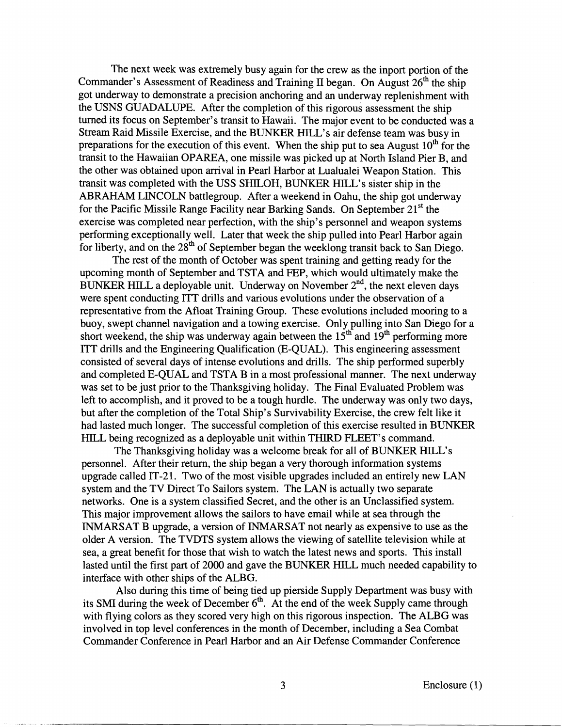The next week was extremely busy again for the crew as the inport portion of the Commander's Assessment of Readiness and Training **II** began. On August 26" the ship got underway to demonstrate a precision anchoring and an underway replenishment with the USNS GUADALUPE. After the completion of this rigorous assessment the ship turned its focus on September's transit to Hawaii. The major event to be conducted was a Stream Raid Missile Exercise, and the BUNKER HILL'S air defense team was busy in preparations for the execution of this event. When the ship put to sea August  $10<sup>th</sup>$  for the transit to the Hawaiian OPAREA, one missile was picked up at North Island Pier B, and the other was obtained upon arrival in Pearl Harbor at Lualualei Weapon Station. This transit was completed with the USS SHILOH, BUNKER HILL'S sister ship in the ABRAHAM LINCOLN battlegroup. After a weekend in Oahu, the ship got underway for the Pacific Missile Range Facility near Barking Sands. On September  $21^{st}$  the exercise was completed near perfection, with the ship's personnel and weapon systems performing exceptionally well. Later that week the ship pulled into Pearl Harbor again for liberty, and on the 28" of September began the weeklong transit back to San Diego.

The rest of the month of October was spent training and getting ready for the upcoming month of September and TSTA and FEP, which would ultimately make the BUNKER HILL a deployable unit. Underway on November  $2<sup>nd</sup>$ , the next eleven days were spent conducting JTT drills and various evolutions under the observation of a representative from the Afloat Training Group. These evolutions included mooring to a buoy, swept channel navigation and a towing exercise. Only pulling into San Diego for a short weekend, the ship was underway again between the  $15<sup>th</sup>$  and  $19<sup>th</sup>$  performing more ITT drills and the Engineering Qualification (E-QUAL). This engineering assessment consisted of several days of intense evolutions and drills. The ship performed superbly and completed E-QUAL and TSTA B in a most professional manner. The next underway was set to be just prior to the Thanksgiving holiday. The Final Evaluated Problem was left to accomplish, and it proved to be a tough hurdle. The underway was only two days, but after the completion of the Total Ship's Survivability Exercise, the crew felt like it had lasted much longer. The successful completion of this exercise resulted in BUNKER HILL being recognized as a deployable unit within THIRD FLEET'S command.

The Thanksgiving holiday was a welcome break for all of BUNKER HILL'S personnel. After their return, the ship began a very thorough information systems upgrade called IT-21. Two of the most visible upgrades included an entirely new LAN system and the TV Direct To Sailors system. The LAN is actually two separate networks. One is a system classified Secret, and the other is an Unclassified system. This major improvement allows the sailors to have email while at sea through the INMARSAT B upgrade, a version of INMARSAT not nearly as expensive to use as the older A version. The TVDTS system allows the viewing of satellite television while at sea, a great benefit for those that wish to watch the latest news and sports. This install lasted until the first part of 2000 and gave the BUNKER HILL much needed capability to interface with other ships of the ALBG.

Also during this time of being tied up pierside Supply Department was busy with its SMI during the week of December  $6<sup>th</sup>$ . At the end of the week Supply came through with flying colors as they scored very high on this rigorous inspection. The ALBG was involved in top level conferences in the month of December, including a Sea Combat Commander Conference in Pearl Harbor and an Air Defense Commander Conference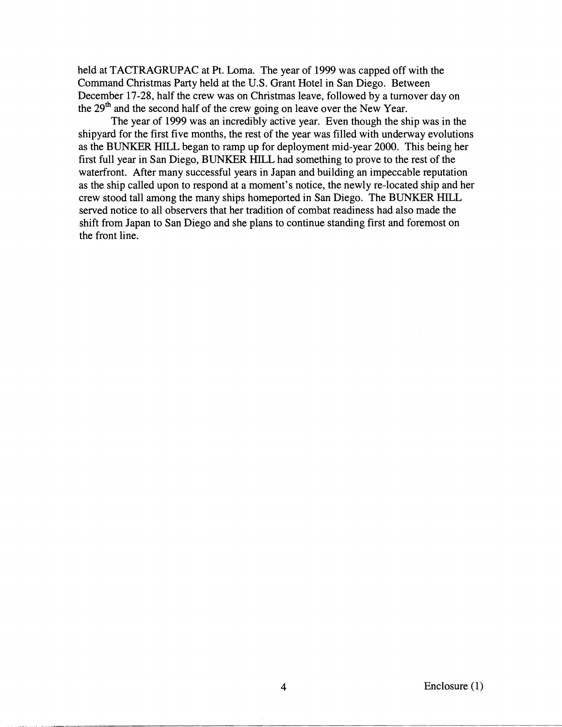held at TACTRAGRUPAC at Pt. Loma. The year of 1999 was capped off with the Command Christmas Party held at the U.S. Grant Hotel in San Diego. Between December 17-28, half the crew was on Christmas leave, followed by a turnover day on the 29<sup>th</sup> and the second half of the crew going on leave over the New Year.

The year of 1999 was an incredibly active year. Even though the ship was in the shipyard for the first five months, the rest of the year was filled with underway evolutions as the BUNKER HILL began to ramp up for deployment mid-year 2000. This being her first full year in San Diego, BUNKER HILL had something to prove to the rest of the waterfront. After many successful years in Japan and building an impeccable reputation as the ship called upon to respond at a moment's notice, the newly re-located ship and her crew stood tall among the many ships homeported in San Diego. The BUNKER HILL served notice to all observers that her tradition of combat readiness had also made the shift from Japan to San Diego and she plans to continue standing first and foremost on the front line.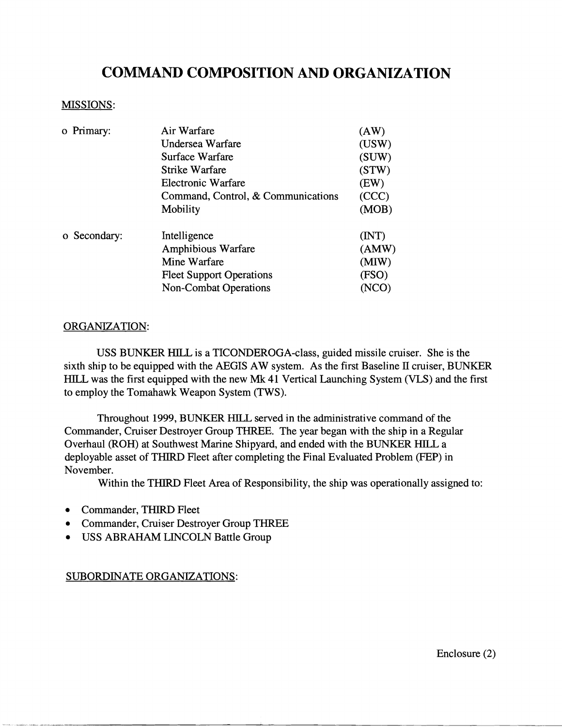# **COMMAND COMPOSITION AND ORGANIZATION**

### MISSIONS:

| o Primary:   | Air Warfare                        | (AW)<br>(USW) |
|--------------|------------------------------------|---------------|
|              | Undersea Warfare                   |               |
|              | Surface Warfare                    | (SUW)         |
|              | Strike Warfare                     | (STW)         |
|              | Electronic Warfare                 | (EW)          |
|              | Command, Control, & Communications | (CCC)         |
|              | Mobility                           | (MOB)         |
| o Secondary: | Intelligence                       | (MT)          |
|              | Amphibious Warfare                 | (AMW)         |
|              | Mine Warfare                       | (MIW)         |
|              | <b>Fleet Support Operations</b>    | (FSO)         |
|              | <b>Non-Combat Operations</b>       |               |

### ORGANIZATION:

USS BUNKER HILL is a TICONDEROGA-class, guided missile cruiser. She is the sixth ship to be equipped with the AEGIS AW system. As the first Baseline **11** cruiser, BUNKER HILL, was the first equipped with the new Mk 41 Vertical Launching System **(VLS)** and the first to employ the Tomahawk Weapon System (TWS).

Throughout 1999, BUNKER HILL served in the administrative command of the Commander, Cruiser Destroyer Group THREE. The year began with the ship in a Regular Overhaul (ROH) at Southwest Marine Shipyard, and ended with the BUNKER HILL a deployable asset of THlRD Fleet after completing the Final Evaluated Problem (FEP) in November.

Within the THlRD Fleet Area of Responsibility, the ship was operationally assigned to:

- Commander, THIRD Fleet
- Commander, Cruiser Destroyer Group THREE  $\bullet$
- USS ABRAHAM LINCOLN Battle Group  $\bullet$

### SUBORDINATE ORGANIZATIONS:

Enclosure (2)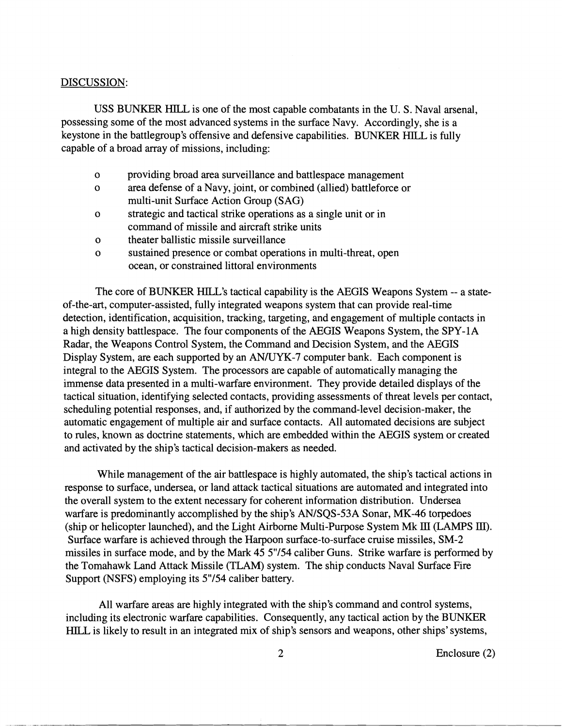#### DISCUSSION:

USS BUNKER HILL is one of the most capable combatants in the U. S. Naval arsenal, possessing some of the most advanced systems in the surface Navy. Accordingly, she is a keystone in the battlegroup's offensive and defensive capabilities. BUNKER HILL is fully capable of a broad array of missions, including:

- o providing broad area surveillance and battlespace management
- o area defense of a Navy, joint, or combined (allied) battleforce or multi-unit Surface Action Group (SAG)
- o strategic and tactical strike operations as a single unit or in command of missile and aircraft strike units
- o theater ballistic missile surveillance
- o sustained presence or combat operations in multi-threat, open ocean, or constrained littoral environments

The core of BUNKER HILL'S tactical capability is the AEGIS Weapons System -- a stateof-the-art, computer-assisted, fully integrated weapons system that can provide real-time detection, identification, acquisition, tracking, targeting, and engagement of multiple contacts in a high density battlespace. The four components of the AEGIS Weapons System, the SPY-1A Radar, the Weapons Control System, the Command and Decision System, and the AEGIS Display System, are each supported by an AN/UYK-7 computer bank. Each component is integral to the AEGIS System. The processors are capable of automatically managing the immense data presented in a multi-warfare environment. They provide detailed displays of the tactical situation, identifying selected contacts, providing assessments of threat levels per contact, scheduling potential responses, and, if authorized by the command-level decision-maker, the automatic engagement of multiple air and surface contacts. All automated decisions are subject to rules, known as doctrine statements, which are embedded within the AEGIS system or created and activated by the ship's tactical decision-makers as needed.

While management of the air battlespace is highly automated, the ship's tactical actions in response to surface, undersea, or land attack tactical situations are automated and integrated into the overall system to the extent necessary for coherent information distribution. Undersea warfare is predominantly accomplished by the ship's AN/SQS-53A Sonar, MK-46 torpedoes (ship or helicopter launched), and the Light Airborne Multi-Purpose System Mk III (LAMPS III). Surface warfare is achieved through the Harpoon surface-to-surface cruise missiles, SM-2 missiles in surface mode, and by the Mark 45 5"/54 caliber Guns. Strike warfare is performed by the Tomahawk Land Attack Missile (TLAM) system. The ship conducts Naval Surface Fire Support (NSFS) employing its 5"/54 caliber battery.

All warfare areas are highly integrated with the ship's command and control systems, including its electronic warfare capabilities. Consequently, any tactical action by the BUNKER HILL is likely to result in an integrated mix of ship's sensors and weapons, other ships' systems,

Enclosure (2)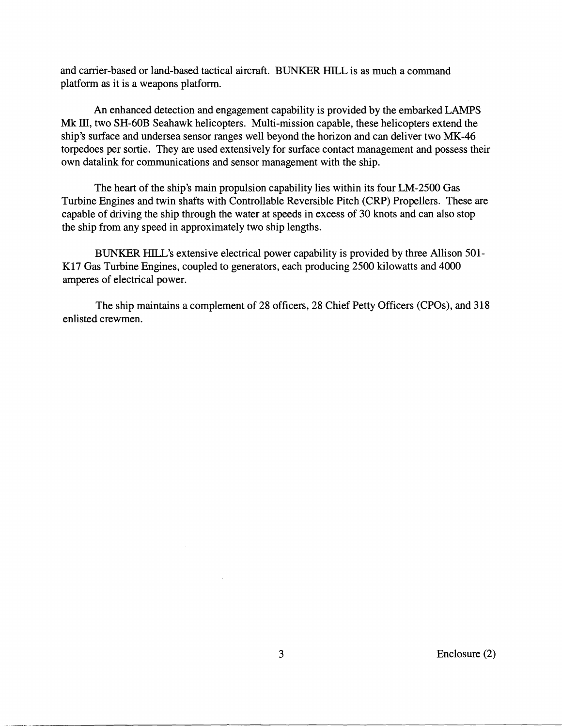and carrier-based or land-based tactical aircraft. BUNKER HILL is as much a command platform as it is a weapons platform.

An enhanced detection and engagement capability is provided by the embarked LAMPS Mk III, two SH-60B Seahawk helicopters. Multi-mission capable, these helicopters extend the ship's surface and undersea sensor ranges well beyond the horizon and can deliver two MK-46 torpedoes per sortie. They are used extensively for surface contact management and possess their own datalink for communications and sensor management with the ship.

The heart of the ship's main propulsion capability lies within its four LM-2500 Gas Turbine Engines and twin shafts with Controllable Reversible Pitch (CRP) Propellers. These are capable of driving the ship through the water at speeds in excess of 30 knots and can also stop the ship from any speed in approximately two ship lengths.

BUNKER HILL'S extensive electrical power capability is provided by three Allison 501- K17 Gas Turbine Engines, coupled to generators, each producing 2500 kilowatts and 4000 amperes of electrical power.

The ship maintains a complement of 28 officers, 28 Chief Petty Officers (CPOs), and 318 enlisted crewmen.

Enclosure (2)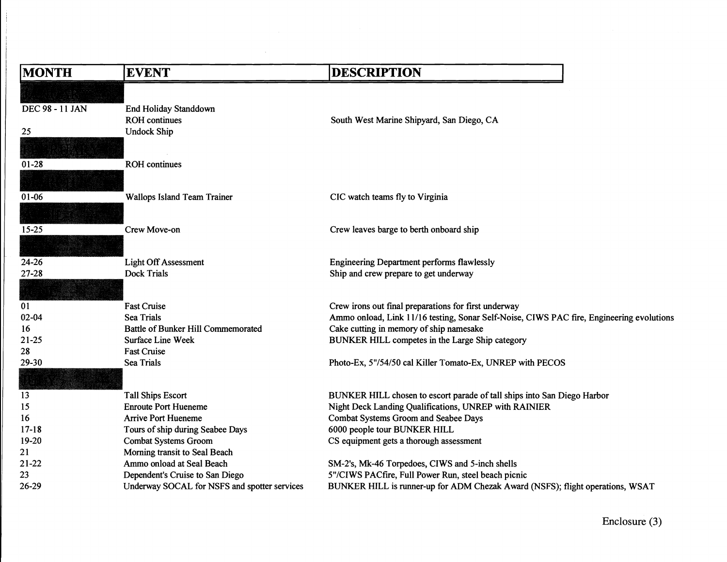| <b>MONTH</b>           | <b>EVENT</b>                                 | <b>DESCRIPTION</b>                                                                                                                               |
|------------------------|----------------------------------------------|--------------------------------------------------------------------------------------------------------------------------------------------------|
|                        |                                              |                                                                                                                                                  |
| <b>DEC 98 - 11 JAN</b> | <b>End Holiday Standdown</b>                 |                                                                                                                                                  |
|                        | <b>ROH</b> continues                         | South West Marine Shipyard, San Diego, CA                                                                                                        |
| 25                     | <b>Undock Ship</b>                           |                                                                                                                                                  |
|                        |                                              |                                                                                                                                                  |
|                        |                                              |                                                                                                                                                  |
| $01 - 28$              | <b>ROH</b> continues                         |                                                                                                                                                  |
|                        |                                              |                                                                                                                                                  |
| $01 - 06$              | Wallops Island Team Trainer                  | CIC watch teams fly to Virginia                                                                                                                  |
|                        |                                              |                                                                                                                                                  |
|                        |                                              |                                                                                                                                                  |
| $15 - 25$              | Crew Move-on                                 | Crew leaves barge to berth onboard ship                                                                                                          |
|                        |                                              |                                                                                                                                                  |
| 24-26                  | <b>Light Off Assessment</b>                  | <b>Engineering Department performs flawlessly</b>                                                                                                |
| $27 - 28$              | <b>Dock Trials</b>                           | Ship and crew prepare to get underway                                                                                                            |
|                        |                                              |                                                                                                                                                  |
| 01                     | <b>Fast Cruise</b>                           |                                                                                                                                                  |
| $02 - 04$              | <b>Sea Trials</b>                            | Crew irons out final preparations for first underway<br>Ammo onload, Link 11/16 testing, Sonar Self-Noise, CIWS PAC fire, Engineering evolutions |
| 16                     | <b>Battle of Bunker Hill Commemorated</b>    | Cake cutting in memory of ship namesake                                                                                                          |
| 21-25                  | Surface Line Week                            | BUNKER HILL competes in the Large Ship category                                                                                                  |
| 28                     | <b>Fast Cruise</b>                           |                                                                                                                                                  |
| 29-30                  | <b>Sea Trials</b>                            | Photo-Ex, 5"/54/50 cal Killer Tomato-Ex, UNREP with PECOS                                                                                        |
|                        |                                              |                                                                                                                                                  |
|                        |                                              |                                                                                                                                                  |
| 13                     | <b>Tall Ships Escort</b>                     | BUNKER HILL chosen to escort parade of tall ships into San Diego Harbor                                                                          |
| 15                     | <b>Enroute Port Hueneme</b>                  | Night Deck Landing Qualifications, UNREP with RAINIER                                                                                            |
| 16                     | <b>Arrive Port Hueneme</b>                   | Combat Systems Groom and Seabee Days                                                                                                             |
| $17 - 18$              | Tours of ship during Seabee Days             | 6000 people tour BUNKER HILL                                                                                                                     |
| $19-20$                | <b>Combat Systems Groom</b>                  | CS equipment gets a thorough assessment                                                                                                          |
| 21                     | Morning transit to Seal Beach                |                                                                                                                                                  |
| $21-22$                | Ammo onload at Seal Beach                    | SM-2's, Mk-46 Torpedoes, CIWS and 5-inch shells                                                                                                  |
| 23                     | Dependent's Cruise to San Diego              | 5"/CIWS PACfire, Full Power Run, steel beach picnic                                                                                              |
| 26-29                  | Underway SOCAL for NSFS and spotter services | BUNKER HILL is runner-up for ADM Chezak Award (NSFS); flight operations, WSAT                                                                    |

 $\mathcal{L}^{\text{max}}_{\text{max}}$  .

Enclosure **(3)**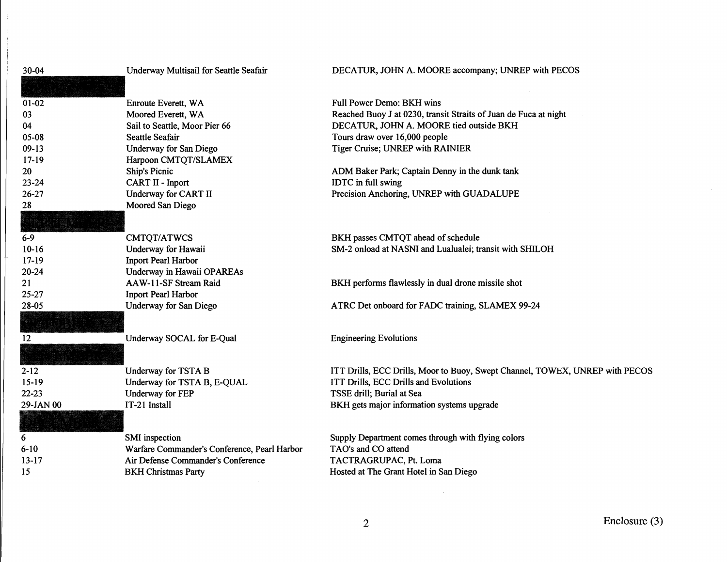| 30-04     | Underway Multisail for Seattle Seafair       | DECATUR, JOHN A. MOORE accompany; UNREP with PECOS                           |
|-----------|----------------------------------------------|------------------------------------------------------------------------------|
|           |                                              |                                                                              |
| $01 - 02$ | Enroute Everett, WA                          | Full Power Demo: BKH wins                                                    |
| 03        | Moored Everett, WA                           | Reached Buoy J at 0230, transit Straits of Juan de Fuca at night             |
| 04        | Sail to Seattle, Moor Pier 66                | DECATUR, JOHN A. MOORE tied outside BKH                                      |
| 05-08     | Seattle Seafair                              | Tours draw over 16,000 people                                                |
| $09-13$   | <b>Underway for San Diego</b>                | Tiger Cruise; UNREP with RAINIER                                             |
| $17-19$   | Harpoon CMTQT/SLAMEX                         |                                                                              |
| 20        | <b>Ship's Picnic</b>                         | ADM Baker Park; Captain Denny in the dunk tank                               |
| $23 - 24$ | CART II - Inport                             | IDTC in full swing                                                           |
| 26-27     | Underway for CART II                         | Precision Anchoring, UNREP with GUADALUPE                                    |
| 28        | Moored San Diego                             |                                                                              |
|           |                                              |                                                                              |
| $6 - 9$   | CMTQT/ATWCS                                  | BKH passes CMTQT ahead of schedule                                           |
| $10-16$   | Underway for Hawaii                          | SM-2 onload at NASNI and Lualualei; transit with SHILOH                      |
| $17 - 19$ | <b>Inport Pearl Harbor</b>                   |                                                                              |
| $20 - 24$ | Underway in Hawaii OPAREAs                   |                                                                              |
| 21        | AAW-11-SF Stream Raid                        | BKH performs flawlessly in dual drone missile shot                           |
| 25-27     | <b>Inport Pearl Harbor</b>                   |                                                                              |
| 28-05     | <b>Underway for San Diego</b>                | ATRC Det onboard for FADC training, SLAMEX 99-24                             |
|           |                                              |                                                                              |
| 12        | Underway SOCAL for E-Qual                    | <b>Engineering Evolutions</b>                                                |
|           |                                              |                                                                              |
| $2 - 12$  | <b>Underway for TSTA B</b>                   | ITT Drills, ECC Drills, Moor to Buoy, Swept Channel, TOWEX, UNREP with PECOS |
| $15-19$   | Underway for TSTA B, E-QUAL                  | ITT Drills, ECC Drills and Evolutions                                        |
| 22-23     | <b>Underway</b> for FEP                      | TSSE drill; Burial at Sea                                                    |
| 29-JAN 00 | IT-21 Install                                | BKH gets major information systems upgrade                                   |
|           |                                              |                                                                              |
| 6         | SMI inspection                               | Supply Department comes through with flying colors                           |
| $6 - 10$  | Warfare Commander's Conference, Pearl Harbor | TAO's and CO attend                                                          |
| $13-17$   | Air Defense Commander's Conference           | TACTRAGRUPAC, Pt. Loma                                                       |
| 15        | <b>BKH Christmas Party</b>                   | Hosted at The Grant Hotel in San Diego                                       |
|           |                                              |                                                                              |

 $\frac{1}{\epsilon}$ 

 $\pm$ 

 $\sim 10^{-11}$ 

 $\mathcal{L}^{\text{max}}_{\text{max}}$  and  $\mathcal{L}^{\text{max}}_{\text{max}}$